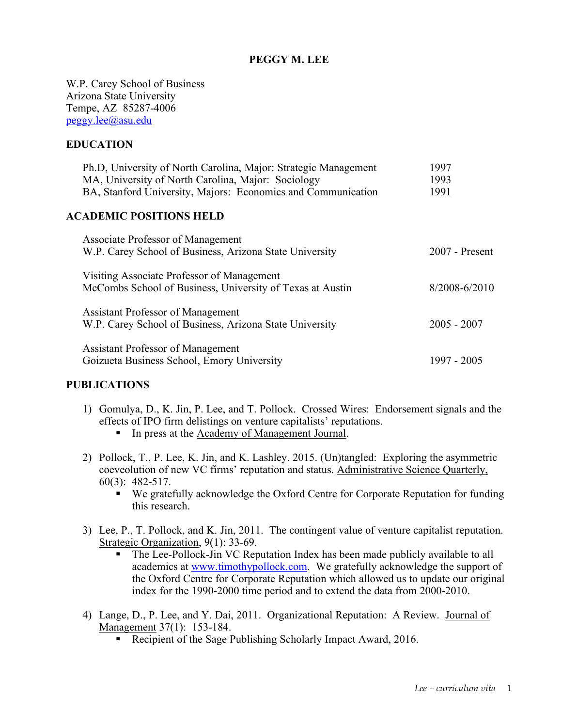#### **PEGGY M. LEE**

W.P. Carey School of Business Arizona State University Tempe, AZ 85287-4006 peggy.lee@asu.edu

#### **EDUCATION**

| Ph.D, University of North Carolina, Major: Strategic Management | 1997              |
|-----------------------------------------------------------------|-------------------|
| MA, University of North Carolina, Major: Sociology              | 1993              |
| BA, Stanford University, Majors: Economics and Communication    | 1991              |
| <b>ACADEMIC POSITIONS HELD</b>                                  |                   |
| <b>Associate Professor of Management</b>                        |                   |
| W.P. Carey School of Business, Arizona State University         | $2007$ - Present  |
| Visiting Associate Professor of Management                      |                   |
| McCombs School of Business, University of Texas at Austin       | $8/2008 - 6/2010$ |
| <b>Assistant Professor of Management</b>                        |                   |
| W.P. Carey School of Business, Arizona State University         | $2005 - 2007$     |
| <b>Assistant Professor of Management</b>                        |                   |
| Goizueta Business School, Emory University                      | 1997 - 2005       |

#### **PUBLICATIONS**

- 1) Gomulya, D., K. Jin, P. Lee, and T. Pollock. Crossed Wires: Endorsement signals and the effects of IPO firm delistings on venture capitalists' reputations.
	- In press at the Academy of Management Journal.
- 2) Pollock, T., P. Lee, K. Jin, and K. Lashley. 2015. (Un)tangled: Exploring the asymmetric coeveolution of new VC firms' reputation and status. Administrative Science Quarterly, 60(3): 482-517.
	- § We gratefully acknowledge the Oxford Centre for Corporate Reputation for funding this research.
- 3) Lee, P., T. Pollock, and K. Jin, 2011. The contingent value of venture capitalist reputation. Strategic Organization, 9(1): 33-69.
	- The Lee-Pollock-Jin VC Reputation Index has been made publicly available to all academics at www.timothypollock.com. We gratefully acknowledge the support of the Oxford Centre for Corporate Reputation which allowed us to update our original index for the 1990-2000 time period and to extend the data from 2000-2010.
- 4) Lange, D., P. Lee, and Y. Dai, 2011. Organizational Reputation: A Review. Journal of Management 37(1): 153-184.
	- § Recipient of the Sage Publishing Scholarly Impact Award, 2016.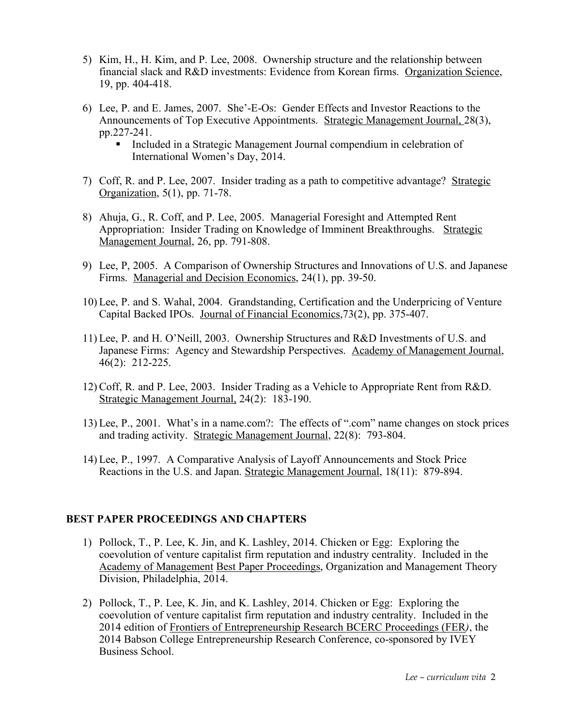- 5) Kim, H., H. Kim, and P. Lee, 2008. Ownership structure and the relationship between financial slack and R&D investments: Evidence from Korean firms. Organization Science, 19, pp. 404-418.
- 6) Lee, P. and E. James, 2007. She'-E-Os: Gender Effects and Investor Reactions to the Announcements of Top Executive Appointments. Strategic Management Journal, 28(3), pp.227-241.
	- Included in a Strategic Management Journal compendium in celebration of International Women's Day, 2014.
- 7) Coff, R. and P. Lee, 2007. Insider trading as a path to competitive advantage? Strategic Organization, 5(1), pp. 71-78.
- 8) Ahuja, G., R. Coff, and P. Lee, 2005. Managerial Foresight and Attempted Rent Appropriation: Insider Trading on Knowledge of Imminent Breakthroughs. Strategic Management Journal, 26, pp. 791-808.
- 9) Lee, P, 2005. A Comparison of Ownership Structures and Innovations of U.S. and Japanese Firms. Managerial and Decision Economics, 24(1), pp. 39-50.
- 10) Lee, P. and S. Wahal, 2004. Grandstanding, Certification and the Underpricing of Venture Capital Backed IPOs. Journal of Financial Economics,73(2), pp. 375-407.
- 11) Lee, P. and H. O'Neill, 2003. Ownership Structures and R&D Investments of U.S. and Japanese Firms: Agency and Stewardship Perspectives. Academy of Management Journal, 46(2): 212-225.
- 12) Coff, R. and P. Lee, 2003. Insider Trading as a Vehicle to Appropriate Rent from R&D. Strategic Management Journal, 24(2): 183-190.
- 13) Lee, P., 2001. What's in a name.com?: The effects of ".com" name changes on stock prices and trading activity. Strategic Management Journal, 22(8): 793-804.
- 14) Lee, P., 1997. A Comparative Analysis of Layoff Announcements and Stock Price Reactions in the U.S. and Japan. Strategic Management Journal, 18(11): 879-894.

#### **BEST PAPER PROCEEDINGS AND CHAPTERS**

- 1) Pollock, T., P. Lee, K. Jin, and K. Lashley, 2014. Chicken or Egg: Exploring the coevolution of venture capitalist firm reputation and industry centrality. Included in the Academy of Management Best Paper Proceedings, Organization and Management Theory Division, Philadelphia, 2014.
- 2) Pollock, T., P. Lee, K. Jin, and K. Lashley, 2014. Chicken or Egg: Exploring the coevolution of venture capitalist firm reputation and industry centrality. Included in the 2014 edition of Frontiers of Entrepreneurship Research BCERC Proceedings (FER*)*, the 2014 Babson College Entrepreneurship Research Conference, co-sponsored by IVEY Business School.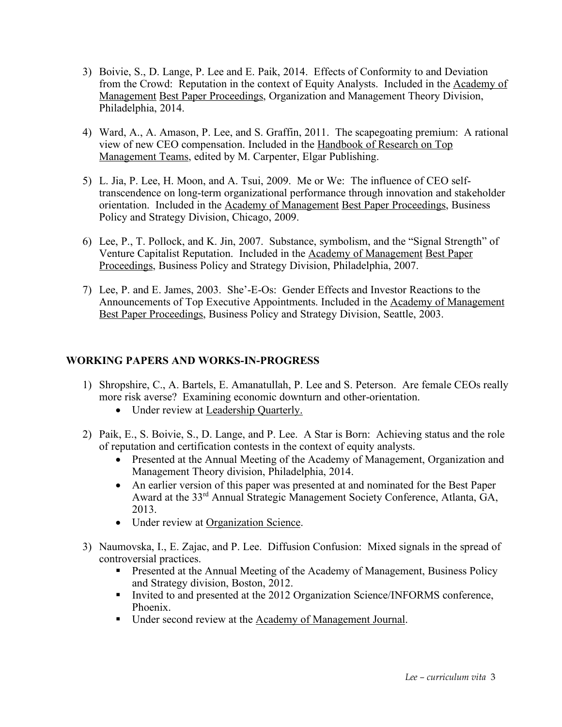- 3) Boivie, S., D. Lange, P. Lee and E. Paik, 2014. Effects of Conformity to and Deviation from the Crowd: Reputation in the context of Equity Analysts. Included in the Academy of Management Best Paper Proceedings, Organization and Management Theory Division, Philadelphia, 2014.
- 4) Ward, A., A. Amason, P. Lee, and S. Graffin, 2011. The scapegoating premium: A rational view of new CEO compensation. Included in the Handbook of Research on Top Management Teams, edited by M. Carpenter, Elgar Publishing.
- 5) L. Jia, P. Lee, H. Moon, and A. Tsui, 2009. Me or We: The influence of CEO selftranscendence on long-term organizational performance through innovation and stakeholder orientation. Included in the Academy of Management Best Paper Proceedings, Business Policy and Strategy Division, Chicago, 2009.
- 6) Lee, P., T. Pollock, and K. Jin, 2007. Substance, symbolism, and the "Signal Strength" of Venture Capitalist Reputation. Included in the Academy of Management Best Paper Proceedings, Business Policy and Strategy Division, Philadelphia, 2007.
- 7) Lee, P. and E. James, 2003. She'-E-Os: Gender Effects and Investor Reactions to the Announcements of Top Executive Appointments. Included in the Academy of Management Best Paper Proceedings, Business Policy and Strategy Division, Seattle, 2003.

# **WORKING PAPERS AND WORKS-IN-PROGRESS**

- 1) Shropshire, C., A. Bartels, E. Amanatullah, P. Lee and S. Peterson. Are female CEOs really more risk averse? Examining economic downturn and other-orientation.
	- Under review at Leadership Quarterly.
- 2) Paik, E., S. Boivie, S., D. Lange, and P. Lee. A Star is Born: Achieving status and the role of reputation and certification contests in the context of equity analysts.
	- Presented at the Annual Meeting of the Academy of Management, Organization and Management Theory division, Philadelphia, 2014.
	- An earlier version of this paper was presented at and nominated for the Best Paper Award at the 33rd Annual Strategic Management Society Conference, Atlanta, GA, 2013.
	- Under review at Organization Science.
- 3) Naumovska, I., E. Zajac, and P. Lee. Diffusion Confusion: Mixed signals in the spread of controversial practices.
	- Presented at the Annual Meeting of the Academy of Management, Business Policy and Strategy division, Boston, 2012.
	- Invited to and presented at the 2012 Organization Science/INFORMS conference, Phoenix.
	- Under second review at the Academy of Management Journal.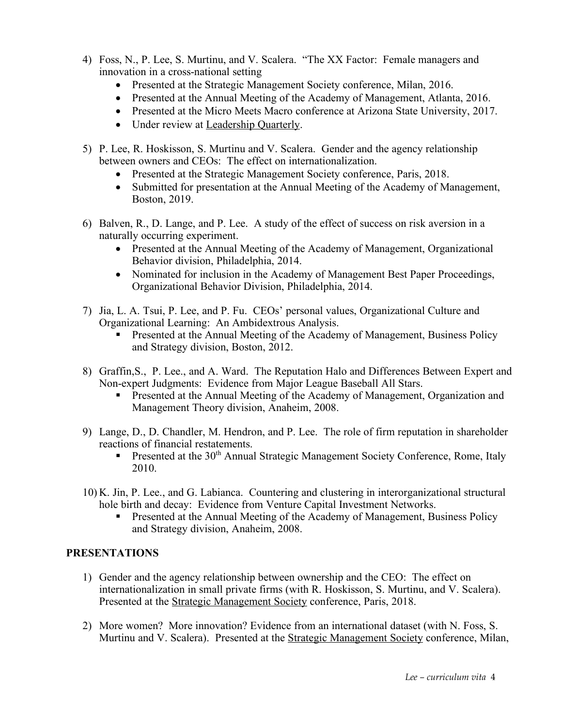- 4) Foss, N., P. Lee, S. Murtinu, and V. Scalera. "The XX Factor: Female managers and innovation in a cross-national setting
	- Presented at the Strategic Management Society conference, Milan, 2016.
	- Presented at the Annual Meeting of the Academy of Management, Atlanta, 2016.
	- Presented at the Micro Meets Macro conference at Arizona State University, 2017.
	- Under review at Leadership Quarterly.
- 5) P. Lee, R. Hoskisson, S. Murtinu and V. Scalera. Gender and the agency relationship between owners and CEOs: The effect on internationalization.
	- Presented at the Strategic Management Society conference, Paris, 2018.
	- Submitted for presentation at the Annual Meeting of the Academy of Management, Boston, 2019.
- 6) Balven, R., D. Lange, and P. Lee. A study of the effect of success on risk aversion in a naturally occurring experiment.
	- Presented at the Annual Meeting of the Academy of Management, Organizational Behavior division, Philadelphia, 2014.
	- Nominated for inclusion in the Academy of Management Best Paper Proceedings, Organizational Behavior Division, Philadelphia, 2014.
- 7) Jia, L. A. Tsui, P. Lee, and P. Fu. CEOs' personal values, Organizational Culture and Organizational Learning: An Ambidextrous Analysis.
	- Presented at the Annual Meeting of the Academy of Management, Business Policy and Strategy division, Boston, 2012.
- 8) Graffin,S., P. Lee., and A. Ward. The Reputation Halo and Differences Between Expert and Non-expert Judgments: Evidence from Major League Baseball All Stars.
	- § Presented at the Annual Meeting of the Academy of Management, Organization and Management Theory division, Anaheim, 2008.
- 9) Lange, D., D. Chandler, M. Hendron, and P. Lee. The role of firm reputation in shareholder reactions of financial restatements.
	- Presented at the 30<sup>th</sup> Annual Strategic Management Society Conference, Rome, Italy 2010.
- 10) K. Jin, P. Lee., and G. Labianca. Countering and clustering in interorganizational structural hole birth and decay: Evidence from Venture Capital Investment Networks.
	- Presented at the Annual Meeting of the Academy of Management, Business Policy and Strategy division, Anaheim, 2008.

## **PRESENTATIONS**

- 1) Gender and the agency relationship between ownership and the CEO: The effect on internationalization in small private firms (with R. Hoskisson, S. Murtinu, and V. Scalera). Presented at the Strategic Management Society conference, Paris, 2018.
- 2) More women? More innovation? Evidence from an international dataset (with N. Foss, S. Murtinu and V. Scalera). Presented at the Strategic Management Society conference, Milan,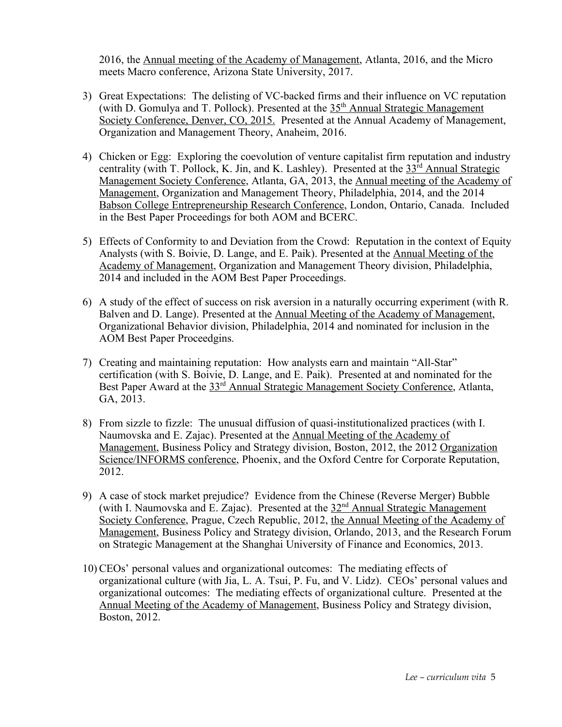2016, the Annual meeting of the Academy of Management, Atlanta, 2016, and the Micro meets Macro conference, Arizona State University, 2017.

- 3) Great Expectations: The delisting of VC-backed firms and their influence on VC reputation (with D. Gomulya and T. Pollock). Presented at the 35<sup>th</sup> Annual Strategic Management Society Conference, Denver, CO, 2015. Presented at the Annual Academy of Management, Organization and Management Theory, Anaheim, 2016.
- 4) Chicken or Egg: Exploring the coevolution of venture capitalist firm reputation and industry centrality (with T. Pollock, K. Jin, and K. Lashley). Presented at the  $33<sup>rd</sup>$  Annual Strategic Management Society Conference, Atlanta, GA, 2013, the Annual meeting of the Academy of Management, Organization and Management Theory, Philadelphia, 2014, and the 2014 Babson College Entrepreneurship Research Conference, London, Ontario, Canada. Included in the Best Paper Proceedings for both AOM and BCERC.
- 5) Effects of Conformity to and Deviation from the Crowd: Reputation in the context of Equity Analysts (with S. Boivie, D. Lange, and E. Paik). Presented at the Annual Meeting of the Academy of Management, Organization and Management Theory division, Philadelphia, 2014 and included in the AOM Best Paper Proceedings.
- 6) A study of the effect of success on risk aversion in a naturally occurring experiment (with R. Balven and D. Lange). Presented at the Annual Meeting of the Academy of Management, Organizational Behavior division, Philadelphia, 2014 and nominated for inclusion in the AOM Best Paper Proceedgins.
- 7) Creating and maintaining reputation: How analysts earn and maintain "All-Star" certification (with S. Boivie, D. Lange, and E. Paik). Presented at and nominated for the Best Paper Award at the 33<sup>rd</sup> Annual Strategic Management Society Conference, Atlanta, GA, 2013.
- 8) From sizzle to fizzle: The unusual diffusion of quasi-institutionalized practices (with I. Naumovska and E. Zajac). Presented at the Annual Meeting of the Academy of Management, Business Policy and Strategy division, Boston, 2012, the 2012 Organization Science/INFORMS conference, Phoenix, and the Oxford Centre for Corporate Reputation, 2012.
- 9) A case of stock market prejudice? Evidence from the Chinese (Reverse Merger) Bubble (with I. Naumovska and E. Zajac). Presented at the  $32<sup>nd</sup>$  Annual Strategic Management Society Conference, Prague, Czech Republic, 2012, the Annual Meeting of the Academy of Management, Business Policy and Strategy division, Orlando, 2013, and the Research Forum on Strategic Management at the Shanghai University of Finance and Economics, 2013.
- 10) CEOs' personal values and organizational outcomes: The mediating effects of organizational culture (with Jia, L. A. Tsui, P. Fu, and V. Lidz). CEOs' personal values and organizational outcomes: The mediating effects of organizational culture. Presented at the Annual Meeting of the Academy of Management, Business Policy and Strategy division, Boston, 2012.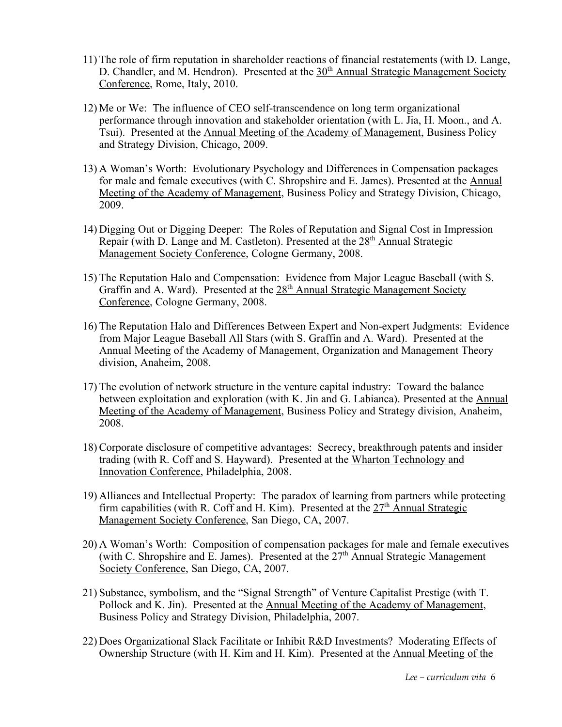- 11) The role of firm reputation in shareholder reactions of financial restatements (with D. Lange, D. Chandler, and M. Hendron). Presented at the 30<sup>th</sup> Annual Strategic Management Society Conference, Rome, Italy, 2010.
- 12) Me or We: The influence of CEO self-transcendence on long term organizational performance through innovation and stakeholder orientation (with L. Jia, H. Moon., and A. Tsui). Presented at the Annual Meeting of the Academy of Management, Business Policy and Strategy Division, Chicago, 2009.
- 13) A Woman's Worth: Evolutionary Psychology and Differences in Compensation packages for male and female executives (with C. Shropshire and E. James). Presented at the Annual Meeting of the Academy of Management, Business Policy and Strategy Division, Chicago, 2009.
- 14) Digging Out or Digging Deeper: The Roles of Reputation and Signal Cost in Impression Repair (with D. Lange and M. Castleton). Presented at the  $28<sup>th</sup>$  Annual Strategic Management Society Conference, Cologne Germany, 2008.
- 15) The Reputation Halo and Compensation: Evidence from Major League Baseball (with S. Graffin and A. Ward). Presented at the 28<sup>th</sup> Annual Strategic Management Society Conference, Cologne Germany, 2008.
- 16) The Reputation Halo and Differences Between Expert and Non-expert Judgments: Evidence from Major League Baseball All Stars (with S. Graffin and A. Ward). Presented at the Annual Meeting of the Academy of Management, Organization and Management Theory division, Anaheim, 2008.
- 17) The evolution of network structure in the venture capital industry: Toward the balance between exploitation and exploration (with K. Jin and G. Labianca). Presented at the Annual Meeting of the Academy of Management, Business Policy and Strategy division, Anaheim, 2008.
- 18) Corporate disclosure of competitive advantages: Secrecy, breakthrough patents and insider trading (with R. Coff and S. Hayward). Presented at the Wharton Technology and Innovation Conference, Philadelphia, 2008.
- 19) Alliances and Intellectual Property: The paradox of learning from partners while protecting firm capabilities (with R. Coff and H. Kim). Presented at the  $27<sup>th</sup>$  Annual Strategic Management Society Conference, San Diego, CA, 2007.
- 20) A Woman's Worth: Composition of compensation packages for male and female executives (with C. Shropshire and E. James). Presented at the  $27<sup>th</sup>$  Annual Strategic Management Society Conference, San Diego, CA, 2007.
- 21) Substance, symbolism, and the "Signal Strength" of Venture Capitalist Prestige (with T. Pollock and K. Jin). Presented at the Annual Meeting of the Academy of Management, Business Policy and Strategy Division, Philadelphia, 2007.
- 22) Does Organizational Slack Facilitate or Inhibit R&D Investments? Moderating Effects of Ownership Structure (with H. Kim and H. Kim). Presented at the Annual Meeting of the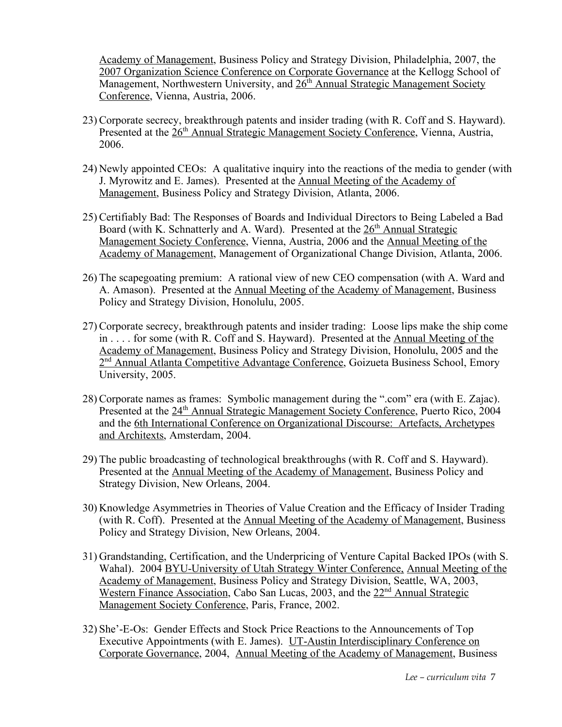Academy of Management, Business Policy and Strategy Division, Philadelphia, 2007, the 2007 Organization Science Conference on Corporate Governance at the Kellogg School of Management, Northwestern University, and 26<sup>th</sup> Annual Strategic Management Society Conference, Vienna, Austria, 2006.

- 23) Corporate secrecy, breakthrough patents and insider trading (with R. Coff and S. Hayward). Presented at the 26<sup>th</sup> Annual Strategic Management Society Conference, Vienna, Austria, 2006.
- 24) Newly appointed CEOs: A qualitative inquiry into the reactions of the media to gender (with J. Myrowitz and E. James). Presented at the Annual Meeting of the Academy of Management, Business Policy and Strategy Division, Atlanta, 2006.
- 25) Certifiably Bad: The Responses of Boards and Individual Directors to Being Labeled a Bad Board (with K. Schnatterly and A. Ward). Presented at the  $26<sup>th</sup>$  Annual Strategic Management Society Conference, Vienna, Austria, 2006 and the Annual Meeting of the Academy of Management, Management of Organizational Change Division, Atlanta, 2006.
- 26) The scapegoating premium: A rational view of new CEO compensation (with A. Ward and A. Amason). Presented at the Annual Meeting of the Academy of Management, Business Policy and Strategy Division, Honolulu, 2005.
- 27) Corporate secrecy, breakthrough patents and insider trading: Loose lips make the ship come in . . . . for some (with R. Coff and S. Hayward). Presented at the Annual Meeting of the Academy of Management, Business Policy and Strategy Division, Honolulu, 2005 and the 2<sup>nd</sup> Annual Atlanta Competitive Advantage Conference, Goizueta Business School, Emory University, 2005.
- 28) Corporate names as frames: Symbolic management during the ".com" era (with E. Zajac). Presented at the 24<sup>th</sup> Annual Strategic Management Society Conference, Puerto Rico, 2004 and the 6th International Conference on Organizational Discourse: Artefacts, Archetypes and Architexts, Amsterdam, 2004.
- 29) The public broadcasting of technological breakthroughs (with R. Coff and S. Hayward). Presented at the Annual Meeting of the Academy of Management, Business Policy and Strategy Division, New Orleans, 2004.
- 30) Knowledge Asymmetries in Theories of Value Creation and the Efficacy of Insider Trading (with R. Coff). Presented at the Annual Meeting of the Academy of Management, Business Policy and Strategy Division, New Orleans, 2004.
- 31) Grandstanding, Certification, and the Underpricing of Venture Capital Backed IPOs (with S. Wahal). 2004 BYU-University of Utah Strategy Winter Conference, Annual Meeting of the Academy of Management, Business Policy and Strategy Division, Seattle, WA, 2003, Western Finance Association, Cabo San Lucas, 2003, and the 22<sup>nd</sup> Annual Strategic Management Society Conference, Paris, France, 2002.
- 32) She'-E-Os: Gender Effects and Stock Price Reactions to the Announcements of Top Executive Appointments (with E. James). UT-Austin Interdisciplinary Conference on Corporate Governance, 2004, Annual Meeting of the Academy of Management, Business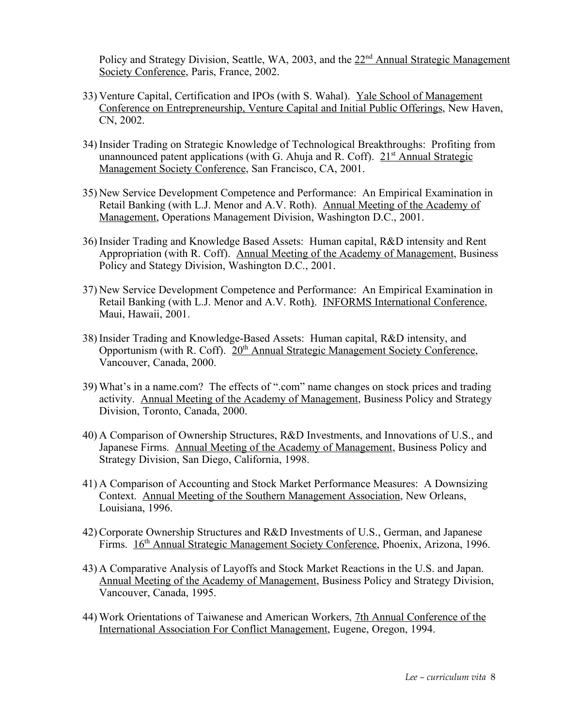Policy and Strategy Division, Seattle, WA, 2003, and the 22<sup>nd</sup> Annual Strategic Management Society Conference, Paris, France, 2002.

- 33) Venture Capital, Certification and IPOs (with S. Wahal). Yale School of Management Conference on Entrepreneurship, Venture Capital and Initial Public Offerings, New Haven, CN, 2002.
- 34) Insider Trading on Strategic Knowledge of Technological Breakthroughs: Profiting from unannounced patent applications (with G. Ahuja and R. Coff).  $21<sup>st</sup>$  Annual Strategic Management Society Conference, San Francisco, CA, 2001.
- 35) New Service Development Competence and Performance: An Empirical Examination in Retail Banking (with L.J. Menor and A.V. Roth). Annual Meeting of the Academy of Management, Operations Management Division, Washington D.C., 2001.
- 36) Insider Trading and Knowledge Based Assets: Human capital, R&D intensity and Rent Appropriation (with R. Coff). Annual Meeting of the Academy of Management, Business Policy and Stategy Division, Washington D.C., 2001.
- 37) New Service Development Competence and Performance: An Empirical Examination in Retail Banking (with L.J. Menor and A.V. Roth). INFORMS International Conference, Maui, Hawaii, 2001.
- 38) Insider Trading and Knowledge-Based Assets: Human capital, R&D intensity, and Opportunism (with R. Coff). 20<sup>th</sup> Annual Strategic Management Society Conference, Vancouver, Canada, 2000.
- 39) What's in a name.com? The effects of ".com" name changes on stock prices and trading activity. Annual Meeting of the Academy of Management, Business Policy and Strategy Division, Toronto, Canada, 2000.
- 40) A Comparison of Ownership Structures, R&D Investments, and Innovations of U.S., and Japanese Firms. Annual Meeting of the Academy of Management, Business Policy and Strategy Division, San Diego, California, 1998.
- 41) A Comparison of Accounting and Stock Market Performance Measures: A Downsizing Context. Annual Meeting of the Southern Management Association, New Orleans, Louisiana, 1996.
- 42) Corporate Ownership Structures and R&D Investments of U.S., German, and Japanese Firms. 16<sup>th</sup> Annual Strategic Management Society Conference, Phoenix, Arizona, 1996.
- 43) A Comparative Analysis of Layoffs and Stock Market Reactions in the U.S. and Japan. Annual Meeting of the Academy of Management, Business Policy and Strategy Division, Vancouver, Canada, 1995.
- 44) Work Orientations of Taiwanese and American Workers, 7th Annual Conference of the International Association For Conflict Management, Eugene, Oregon, 1994.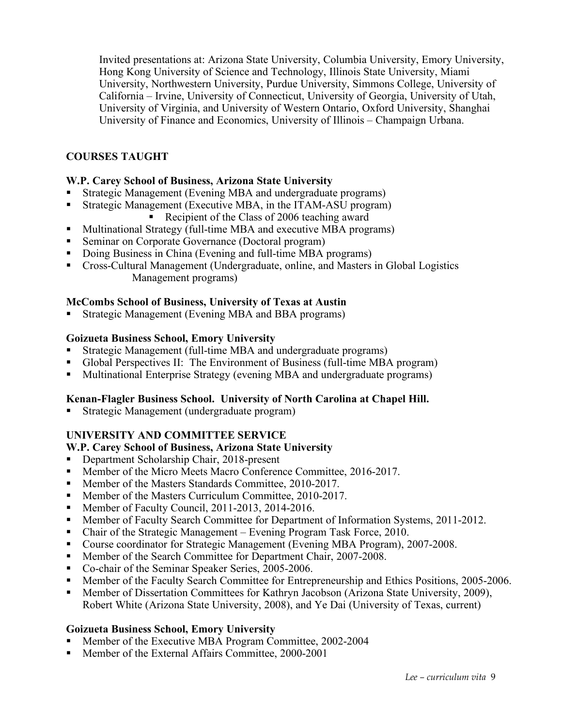Invited presentations at: Arizona State University, Columbia University, Emory University, Hong Kong University of Science and Technology, Illinois State University, Miami University, Northwestern University, Purdue University, Simmons College, University of California – Irvine, University of Connecticut, University of Georgia, University of Utah, University of Virginia, and University of Western Ontario, Oxford University, Shanghai University of Finance and Economics, University of Illinois – Champaign Urbana.

# **COURSES TAUGHT**

## **W.P. Carey School of Business, Arizona State University**

- § Strategic Management (Evening MBA and undergraduate programs)
- Strategic Management (Executive MBA, in the ITAM-ASU program)
	- Recipient of the Class of 2006 teaching award
- Multinational Strategy (full-time MBA and executive MBA programs)
- Seminar on Corporate Governance (Doctoral program)
- Doing Business in China (Evening and full-time MBA programs)
- § Cross-Cultural Management (Undergraduate, online, and Masters in Global Logistics Management programs)

## **McCombs School of Business, University of Texas at Austin**

§ Strategic Management (Evening MBA and BBA programs)

## **Goizueta Business School, Emory University**

- § Strategic Management (full-time MBA and undergraduate programs)
- § Global Perspectives II: The Environment of Business (full-time MBA program)
- Multinational Enterprise Strategy (evening MBA and undergraduate programs)

## **Kenan-Flagler Business School. University of North Carolina at Chapel Hill.**

§ Strategic Management (undergraduate program)

# **UNIVERSITY AND COMMITTEE SERVICE**

## **W.P. Carey School of Business, Arizona State University**

- Department Scholarship Chair, 2018-present
- Member of the Micro Meets Macro Conference Committee, 2016-2017.
- Member of the Masters Standards Committee, 2010-2017.
- Member of the Masters Curriculum Committee, 2010-2017.
- Member of Faculty Council, 2011-2013, 2014-2016.
- Member of Faculty Search Committee for Department of Information Systems, 2011-2012.
- Chair of the Strategic Management Evening Program Task Force, 2010.
- Course coordinator for Strategic Management (Evening MBA Program), 2007-2008.
- Member of the Search Committee for Department Chair, 2007-2008.
- Co-chair of the Seminar Speaker Series, 2005-2006.
- Member of the Faculty Search Committee for Entrepreneurship and Ethics Positions, 2005-2006.
- Member of Dissertation Committees for Kathryn Jacobson (Arizona State University, 2009), Robert White (Arizona State University, 2008), and Ye Dai (University of Texas, current)

## **Goizueta Business School, Emory University**

- § Member of the Executive MBA Program Committee, 2002-2004
- § Member of the External Affairs Committee, 2000-2001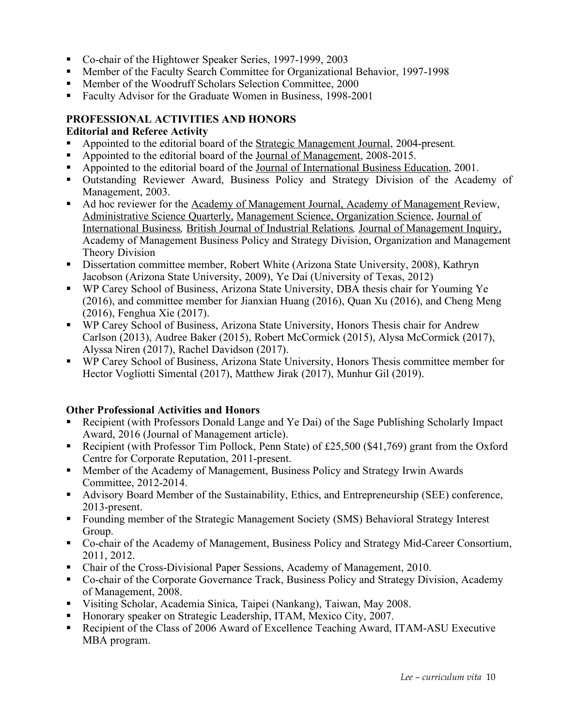- Co-chair of the Hightower Speaker Series, 1997-1999, 2003
- Member of the Faculty Search Committee for Organizational Behavior, 1997-1998
- Member of the Woodruff Scholars Selection Committee, 2000
- § Faculty Advisor for the Graduate Women in Business, 1998-2001

# **PROFESSIONAL ACTIVITIES AND HONORS**

#### **Editorial and Referee Activity**

- § Appointed to the editorial board of the Strategic Management Journal, 2004-present*.*
- § Appointed to the editorial board of the Journal of Management, 2008-2015.
- § Appointed to the editorial board of the Journal of International Business Education, 2001.
- § Outstanding Reviewer Award, Business Policy and Strategy Division of the Academy of Management, 2003.
- Ad hoc reviewer for the Academy of Management Journal, Academy of Management Review, Administrative Science Quarterly, Management Science, Organization Science, Journal of International Business*,* British Journal of Industrial Relations*,* Journal of Management Inquiry, Academy of Management Business Policy and Strategy Division, Organization and Management Theory Division
- Dissertation committee member, Robert White (Arizona State University, 2008), Kathryn Jacobson (Arizona State University, 2009), Ye Dai (University of Texas, 2012)
- § WP Carey School of Business, Arizona State University, DBA thesis chair for Youming Ye (2016), and committee member for Jianxian Huang (2016), Quan Xu (2016), and Cheng Meng (2016), Fenghua Xie (2017).
- WP Carey School of Business, Arizona State University, Honors Thesis chair for Andrew Carlson (2013), Audree Baker (2015), Robert McCormick (2015), Alysa McCormick (2017), Alyssa Niren (2017), Rachel Davidson (2017).
- § WP Carey School of Business, Arizona State University, Honors Thesis committee member for Hector Vogliotti Simental (2017), Matthew Jirak (2017), Munhur Gil (2019).

## **Other Professional Activities and Honors**

- § Recipient (with Professors Donald Lange and Ye Dai) of the Sage Publishing Scholarly Impact Award, 2016 (Journal of Management article).
- Recipient (with Professor Tim Pollock, Penn State) of £25,500 (\$41,769) grant from the Oxford Centre for Corporate Reputation, 2011-present.
- § Member of the Academy of Management, Business Policy and Strategy Irwin Awards Committee, 2012-2014.
- § Advisory Board Member of the Sustainability, Ethics, and Entrepreneurship (SEE) conference, 2013-present.
- Founding member of the Strategic Management Society (SMS) Behavioral Strategy Interest Group.
- Co-chair of the Academy of Management, Business Policy and Strategy Mid-Career Consortium, 2011, 2012.
- Chair of the Cross-Divisional Paper Sessions, Academy of Management, 2010.
- Co-chair of the Corporate Governance Track, Business Policy and Strategy Division, Academy of Management, 2008.
- § Visiting Scholar, Academia Sinica, Taipei (Nankang), Taiwan, May 2008.
- § Honorary speaker on Strategic Leadership, ITAM, Mexico City, 2007.
- § Recipient of the Class of 2006 Award of Excellence Teaching Award, ITAM-ASU Executive MBA program.